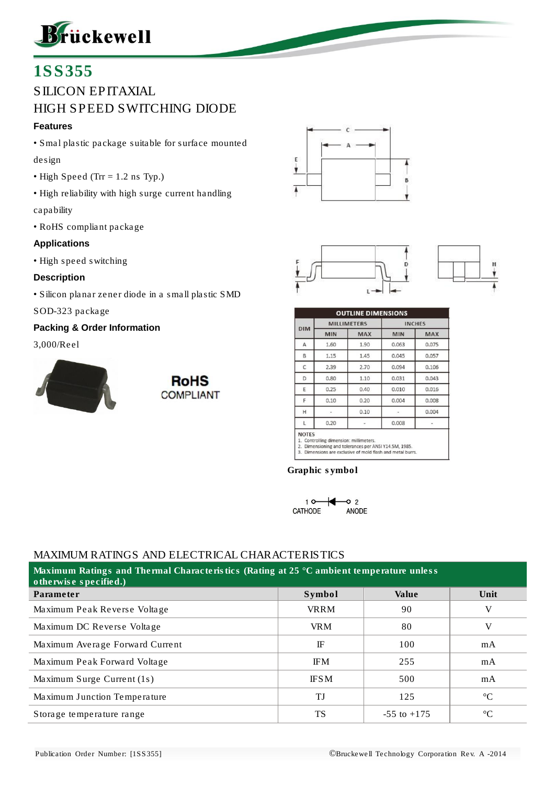

# 1SS355

# SILICON EPITAXIAL HIGH SPEED SWITCHING DIODE

#### **Features**

- Smal plastic package suitable for surface mounted design
- High Speed (Trr = 1.2 ns Typ.)
- High reliability with high surge current handling capability
- RoHS compliant package

#### **Applications**

• High speed switching

#### **Description**

• Silicon planar zener diode in a small plastic SMD

#### SOD-323 package

#### **Packing & Order Information**

#### 3,000/Reel











| DIM | <b>MILLIMETERS</b> |            | <b>INCHES</b> |            |  |
|-----|--------------------|------------|---------------|------------|--|
|     | <b>MIN</b>         | <b>MAX</b> | <b>MIN</b>    | <b>MAX</b> |  |
| A   | 1.60               | 1.90       | 0.063         | 0.075      |  |
| B   | 1.15               | 1.45       | 0.045         | 0.057      |  |
| C   | 2.39               | 2.70       | 0.094         | 0.106      |  |
| D   | 0.80               | 1.10       | 0.031         | 0.043      |  |
| E   | 0.25               | 0.40       | 0.010         | 0.016      |  |
| F   | 0.10               | 0.20       | 0.004         | 0.008      |  |
| H   |                    | 0.10       |               | 0.004      |  |
| L   | 0.20               |            | 0.008         |            |  |

1. Controlling dimension: millimeters.<br>2. Dimensioning and tolerances per ANSI Y14.5M, 1985.<br>3. Dimensions are exclusive of mold flash and metal burrs.

Graphic symbol



#### MAXIMUM RATINGS AND ELECTRICAL CHARACTERISTICS

| Maximum Ratings and Thermal Characteristics (Rating at 25 °C ambient temperature unless<br>otherwise specified.) |             |                 |                 |  |  |  |  |  |  |
|------------------------------------------------------------------------------------------------------------------|-------------|-----------------|-----------------|--|--|--|--|--|--|
| Parameter                                                                                                        | Symbol      | Value           | Unit            |  |  |  |  |  |  |
| Maximum Peak Reverse Voltage                                                                                     | <b>VRRM</b> | 90              | V               |  |  |  |  |  |  |
| Maximum DC Reverse Voltage                                                                                       | <b>VRM</b>  | 80              | V               |  |  |  |  |  |  |
| Maximum Average Forward Current                                                                                  | IF          | 100             | mA              |  |  |  |  |  |  |
| Maximum Peak Forward Voltage                                                                                     | <b>IFM</b>  | 255             | mA              |  |  |  |  |  |  |
| Maximum Surge Current (1s)                                                                                       | <b>IFSM</b> | 500             | mA              |  |  |  |  |  |  |
| Maximum Junction Temperature                                                                                     | ТJ          | 125             | $\rm ^{\circ}C$ |  |  |  |  |  |  |
| Storage temperature range                                                                                        | <b>TS</b>   | $-55$ to $+175$ | $^{\circ}C$     |  |  |  |  |  |  |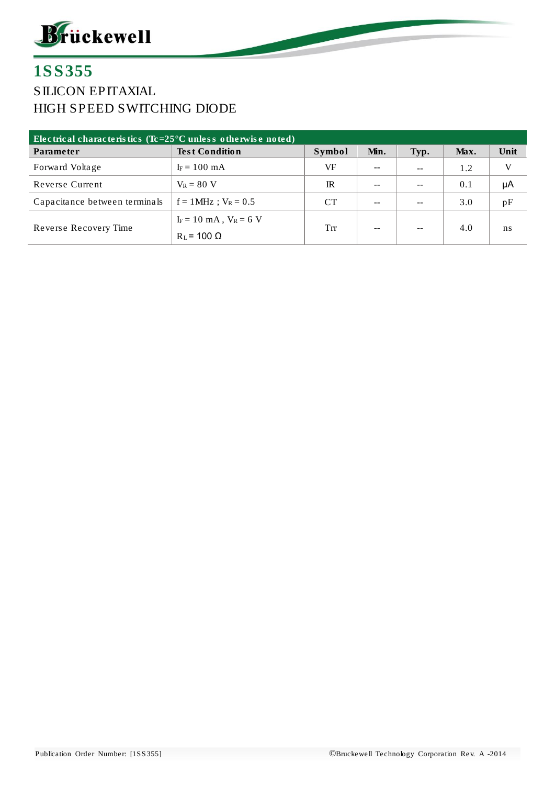

### 1SS355 SILICON EPITAXIAL HIGH SPEED SWITCHING DIODE

| Electrical characteristics ( $Tc = 25^{\circ}C$ unless otherwise noted) |                            |             |      |               |      |      |  |  |  |  |
|-------------------------------------------------------------------------|----------------------------|-------------|------|---------------|------|------|--|--|--|--|
| Parameter                                                               | Test Condition             | Symbol      | Min. | Typ.          | Max. | Unit |  |  |  |  |
| Forward Voltage                                                         | $I_F = 100$ mA             | VF          | --   | $\sim$ $\sim$ | 1.2  |      |  |  |  |  |
| Reverse Current                                                         | $V_R = 80$ V               | $_{\rm IR}$ |      | --            | 0.1  | μA   |  |  |  |  |
| Capacitance between terminals                                           | $f = 1$ MHz; $V_R = 0.5$   | <b>CT</b>   | --   | $- -$         | 3.0  | pF   |  |  |  |  |
|                                                                         | $I_F = 10$ mA, $V_R = 6$ V | Trr         | --   | --            | 4.0  | ns   |  |  |  |  |
| Reverse Recovery Time                                                   | $R_L$ = 100 $\Omega$       |             |      |               |      |      |  |  |  |  |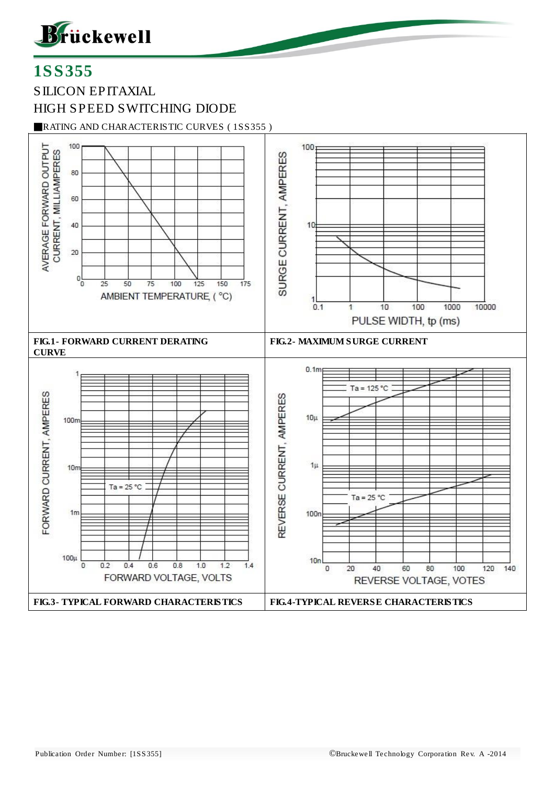

# 1SS355

SILICON EPITAXIAL HIGH SPEED SWITCHING DIODE

■RATING AND CHARACTERISTIC CURVES ( 1SS355 )

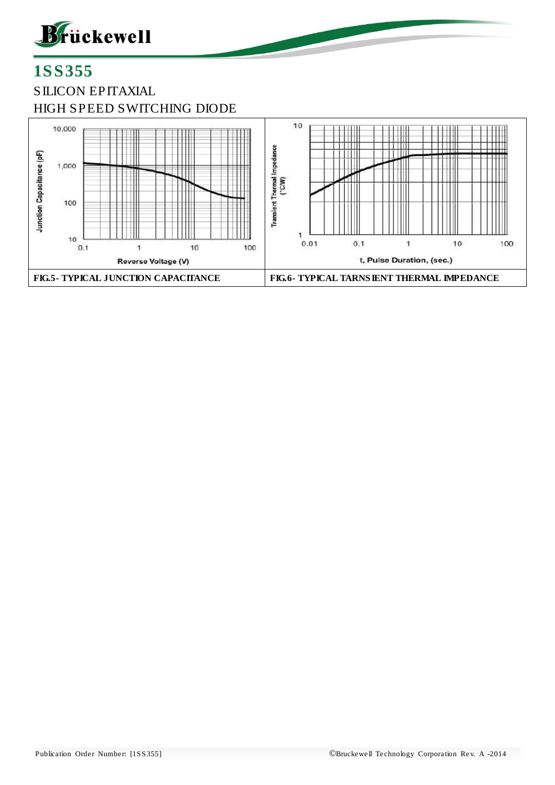

# 1SS355 SILICON EPITAXIAL HIGH SPEED SWITCHING DIODE